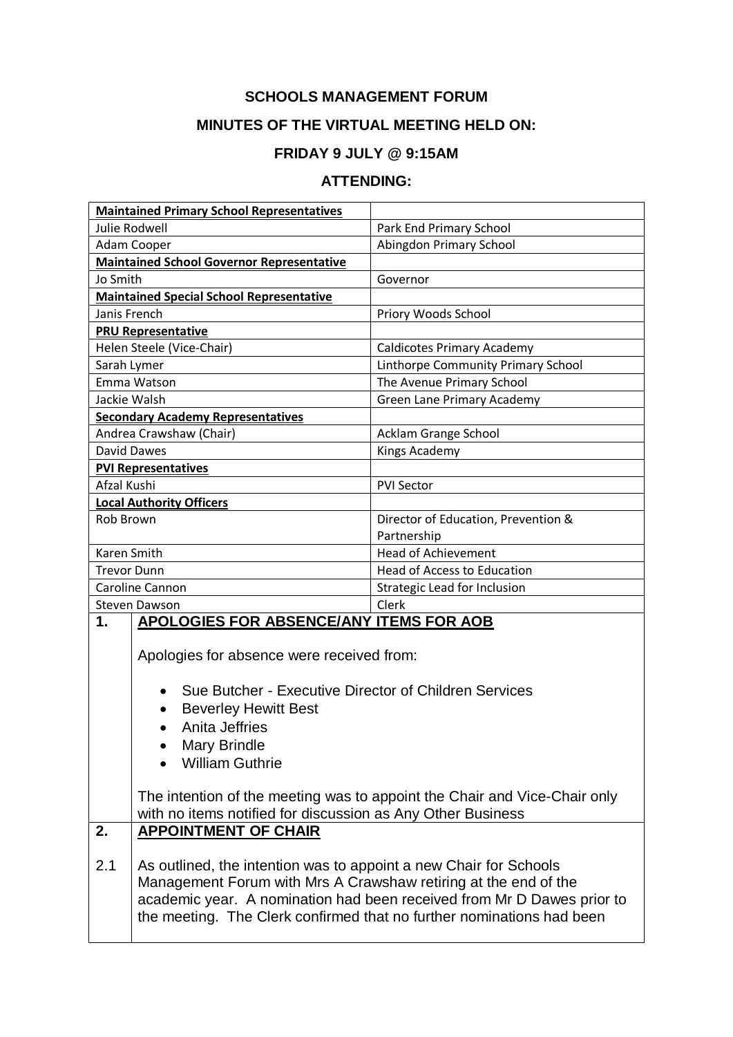## **SCHOOLS MANAGEMENT FORUM**

## **MINUTES OF THE VIRTUAL MEETING HELD ON:**

## **FRIDAY 9 JULY @ 9:15AM**

## **ATTENDING:**

| <b>Maintained Primary School Representatives</b> |                                                                           |                                                                       |  |
|--------------------------------------------------|---------------------------------------------------------------------------|-----------------------------------------------------------------------|--|
| <b>Julie Rodwell</b>                             |                                                                           | Park End Primary School                                               |  |
| Adam Cooper                                      |                                                                           | Abingdon Primary School                                               |  |
|                                                  | <b>Maintained School Governor Representative</b>                          |                                                                       |  |
| Jo Smith                                         |                                                                           | Governor                                                              |  |
|                                                  | <b>Maintained Special School Representative</b>                           |                                                                       |  |
| Janis French                                     |                                                                           | Priory Woods School                                                   |  |
| <b>PRU Representative</b>                        |                                                                           |                                                                       |  |
| Helen Steele (Vice-Chair)                        |                                                                           | <b>Caldicotes Primary Academy</b>                                     |  |
| Sarah Lymer                                      |                                                                           | Linthorpe Community Primary School                                    |  |
| Emma Watson                                      |                                                                           | The Avenue Primary School                                             |  |
| Jackie Walsh                                     |                                                                           | Green Lane Primary Academy                                            |  |
|                                                  | <b>Secondary Academy Representatives</b>                                  |                                                                       |  |
|                                                  | Andrea Crawshaw (Chair)                                                   | Acklam Grange School                                                  |  |
| David Dawes                                      |                                                                           | <b>Kings Academy</b>                                                  |  |
| <b>PVI Representatives</b>                       |                                                                           |                                                                       |  |
| Afzal Kushi                                      |                                                                           | <b>PVI Sector</b>                                                     |  |
| <b>Local Authority Officers</b>                  |                                                                           |                                                                       |  |
| Rob Brown                                        |                                                                           | Director of Education, Prevention &                                   |  |
|                                                  |                                                                           | Partnership                                                           |  |
| Karen Smith                                      |                                                                           | <b>Head of Achievement</b>                                            |  |
| <b>Trevor Dunn</b>                               |                                                                           | <b>Head of Access to Education</b>                                    |  |
| Caroline Cannon                                  |                                                                           | Strategic Lead for Inclusion                                          |  |
| <b>Steven Dawson</b>                             |                                                                           | Clerk                                                                 |  |
| 1.                                               | <b>APOLOGIES FOR ABSENCE/ANY ITEMS FOR AOB</b>                            |                                                                       |  |
|                                                  |                                                                           |                                                                       |  |
|                                                  | Apologies for absence were received from:                                 |                                                                       |  |
|                                                  |                                                                           |                                                                       |  |
|                                                  | Sue Butcher - Executive Director of Children Services                     |                                                                       |  |
|                                                  | <b>Beverley Hewitt Best</b><br>$\bullet$                                  |                                                                       |  |
|                                                  | Anita Jeffries                                                            |                                                                       |  |
|                                                  | <b>Mary Brindle</b>                                                       |                                                                       |  |
|                                                  | <b>William Guthrie</b>                                                    |                                                                       |  |
|                                                  |                                                                           |                                                                       |  |
|                                                  | The intention of the meeting was to appoint the Chair and Vice-Chair only |                                                                       |  |
|                                                  | with no items notified for discussion as Any Other Business               |                                                                       |  |
| 2.                                               | <b>APPOINTMENT OF CHAIR</b>                                               |                                                                       |  |
|                                                  |                                                                           |                                                                       |  |
| 2.1                                              | As outlined, the intention was to appoint a new Chair for Schools         |                                                                       |  |
|                                                  | Management Forum with Mrs A Crawshaw retiring at the end of the           |                                                                       |  |
|                                                  | academic year. A nomination had been received from Mr D Dawes prior to    |                                                                       |  |
|                                                  |                                                                           | the meeting. The Clerk confirmed that no further nominations had been |  |
|                                                  |                                                                           |                                                                       |  |